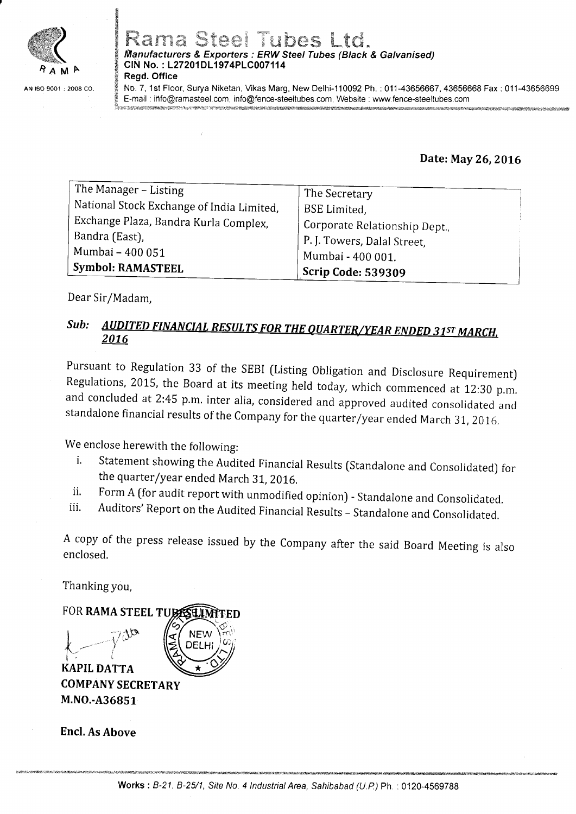

# Rama Steel Tubes Ltd. *Manufacturers & Exporters : ERW Steel Tubes (Black & Galvanised)*<br>CIN No. : L27201DL1974PLC007114

Regd. Office

tr E the company of

f No. Z, 1st Floor, Surya Niketan, Vikas Marg, New Delhi-110092 Ph. : 011-43656667, 43656668 Fax : 011-43656699 5 E-mail : ihfo@ramasteel.com, info@fence-steeltubes.com, Website:www.fence-steeltubes.com Lyon the completed of the total of the complete the strate of the strate of the strate of the strate of the strate of the strate of the strate of the strate of the strate of the strate of the strate of the strate of the st

Date: May 26, 2016

| The Manager - Listing                     | The Secretary                 |
|-------------------------------------------|-------------------------------|
| National Stock Exchange of India Limited, | <b>BSE</b> Limited.           |
| Exchange Plaza, Bandra Kurla Complex,     | Corporate Relationship Dept., |
| Bandra (East),                            | P. J. Towers, Dalal Street,   |
| Mumbai - 400 051                          | Mumbai - 400 001.             |
| <b>Symbol: RAMASTEEL</b>                  | <b>Scrip Code: 539309</b>     |

Dear Sir/Madam,

#### Sub:AUDITED FINANCIAL RESULTS FOR THE QUARTER/YEAR ENDED 31ST MARCH. 2016

Pursuant to Regulation 33 of the SEBI (Listing Obligation and Disclosure Requirement)<br>Regulations, 2015, the Board at its meeting held today, which commenced at 12:30 p.m. and concluded at 2:45 p.m. inter alia, considered and approved audited consolidated and<br>standalone financial results of the Company for the quarter/year ended March 31, 2016.

We enclose herewith the following:

- i. Statement showing the Audited Financial Results (Standalone and Consolidated) for the quarter/year ended March 31, 2016.
- 
- ii. Form A ffor audit report with unmodified opinion) Standalone and Consolidated.<br>iii. Auditors' Report on the Audited Financial Results Standalone and Consolidated.

<sup>A</sup>copy of the press release issued by the Company after the said Board Meeting is also enclosed.

Thanking you,



COMPANY SECRETARY M.NO.-A36851

Encl. As Above

ii.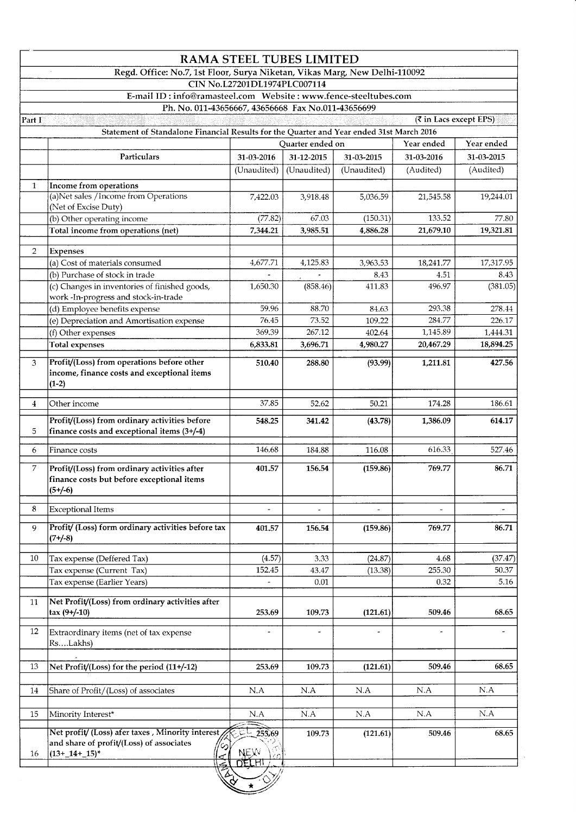|                |                                                                                                                    | <b>RAMA STEEL TUBES LIMITED</b> |                          |                          |                              |            |
|----------------|--------------------------------------------------------------------------------------------------------------------|---------------------------------|--------------------------|--------------------------|------------------------------|------------|
|                | Regd. Office: No.7, 1st Floor, Surya Niketan, Vikas Marg, New Delhi-110092                                         | CIN No.L27201DL1974PLC007114    |                          |                          |                              |            |
|                |                                                                                                                    |                                 |                          |                          |                              |            |
|                | Ph. No. 011-43656667, 43656668 Fax No.011-43656699                                                                 |                                 |                          |                          |                              |            |
| Part I         |                                                                                                                    |                                 |                          |                          | <b>₹</b> in Lacs except EPS) |            |
|                | Statement of Standalone Financial Results for the Quarter and Year ended 31st March 2016                           |                                 |                          |                          |                              |            |
|                |                                                                                                                    |                                 | Quarter ended on         |                          | Year ended                   | Year ended |
|                | Particulars                                                                                                        | 31-03-2016                      | 31-12-2015               | 31-03-2015               | 31-03-2016                   | 31-03-2015 |
|                |                                                                                                                    | (Unaudited)                     | (Unaudited)              | (Unaudited)              | (Audited)                    | (Audited)  |
| $\mathbf{1}$   | Income from operations                                                                                             |                                 |                          |                          |                              |            |
|                | (a)Net sales / Income from Operations                                                                              | 7,422.03                        | 3,918.48                 | 5,036.59                 | 21,545.58                    | 19,244.01  |
|                | (Net of Excise Duty)                                                                                               |                                 |                          |                          |                              |            |
|                | (b) Other operating income                                                                                         | (77.82)                         | 67.03                    | (150.31)                 | 133.52                       | 77.80      |
|                | Total income from operations (net)                                                                                 | 7,344.21                        | 3,985.51                 | 4,886.28                 | 21,679.10                    | 19,321.81  |
|                |                                                                                                                    |                                 |                          |                          |                              |            |
| $\overline{2}$ | <b>Expenses</b><br>(a) Cost of materials consumed                                                                  | 4,677.71                        | 4,125.83                 | 3,963.53                 | 18,241.77                    | 17,317.95  |
|                | (b) Purchase of stock in trade                                                                                     |                                 |                          | 8.43                     | 4.51                         | 8.43       |
|                | (c) Changes in inventories of finished goods,                                                                      | 1,650.30                        | (858.46)                 | 411.83                   | 496.97                       | (381.05)   |
|                | work-In-progress and stock-in-trade                                                                                |                                 |                          |                          |                              |            |
|                | (d) Employee benefits expense                                                                                      | 59.96                           | 88.70                    | 84.63                    | 293.38                       | 278.44     |
|                | (e) Depreciation and Amortisation expense                                                                          | 76.45                           | 73.52                    | 109.22                   | 284.77                       | 226.17     |
|                | (f) Other expenses                                                                                                 | 369.39                          | 267.12                   | 402.64                   | 1,145.89                     | 1,444.31   |
|                | <b>Total expenses</b>                                                                                              | 6,833.81                        | 3,696.71                 | 4,980.27                 | 20,467.29                    | 18,894.25  |
| 3              | Profit/(Loss) from operations before other<br>income, finance costs and exceptional items                          | 510.40                          | 288.80                   | (93.99)                  | 1,211.81                     | 427.56     |
|                | $(1-2)$                                                                                                            |                                 |                          |                          |                              |            |
| $\overline{4}$ | Other income                                                                                                       | 37.85                           | 52.62                    | 50.21                    | 174.28                       | 186.61     |
| 5              | Profit/(Loss) from ordinary activities before<br>finance costs and exceptional items (3+/-4)                       | 548.25                          | 341.42                   | (43.78)                  | 1,386.09                     | 614.17     |
| 6              | Finance costs                                                                                                      | 146.68                          | 184.88                   | 116.08                   | 616.33                       | 527.46     |
| 7              | Profit/(Loss) from ordinary activities after<br>finance costs but before exceptional items<br>$(5 + (-6))$         | 401.57                          | 156.54                   | (159.86)                 | 769.77                       | 86.71      |
| 8              | Exceptional Items                                                                                                  |                                 |                          | $\overline{\phantom{a}}$ | $\overline{\phantom{a}}$     |            |
|                |                                                                                                                    |                                 | $\overline{\phantom{0}}$ |                          |                              |            |
| 9              | Profit/ (Loss) form ordinary activities before tax<br>$(7 - 8)$                                                    | 401.57                          | 156.54                   | (159.86)                 | 769.77                       | 86.71      |
| 10             | Tax expense (Deffered Tax)                                                                                         | (4.57)                          | 3.33                     | (24.87)                  | 4.68                         | (37.47)    |
|                | Tax expense (Current Tax)                                                                                          | 152.45                          | 43.47                    | (13.38)                  | 255.30                       | 50.37      |
|                | Tax expense (Earlier Years)                                                                                        | $\blacksquare$                  | 0.01                     |                          | 0.32                         | 5.16       |
|                |                                                                                                                    |                                 |                          |                          |                              |            |
| 11             | Net Profit/(Loss) from ordinary activities after<br>$\text{tax}(9+/10)$                                            | 253.69                          | 109.73                   | (121.61)                 | 509.46                       | 68.65      |
|                |                                                                                                                    |                                 |                          |                          |                              |            |
| 12             | Extraordinary items (net of tax expense<br>Rs….Lakhs)                                                              | $\blacksquare$                  | $\overline{\phantom{0}}$ |                          | $\tilde{\phantom{a}}$        |            |
| 13             | Net Profit/(Loss) for the period (11+/-12)                                                                         | 253.69                          | 109.73                   | (121.61)                 | 509.46                       | 68.65      |
| 14             | Share of Profit/(Loss) of associates                                                                               | N.A                             | N.A                      | N.A                      | N.A                          | N.A        |
| 15             | Minority Interest*                                                                                                 | $\rm N.A$                       | $\rm N.A$                | N.A                      | N.A                          | N.A        |
| 16             | Net profit/ (Loss) afer taxes, Minority interest<br>and share of profit/(Loss) of associates<br>$(13 + 14 + 15)^*$ | 253,69<br><b>NEXV</b><br>DELHI  | 109.73                   | (121.61)                 | 509.46                       | 68.65      |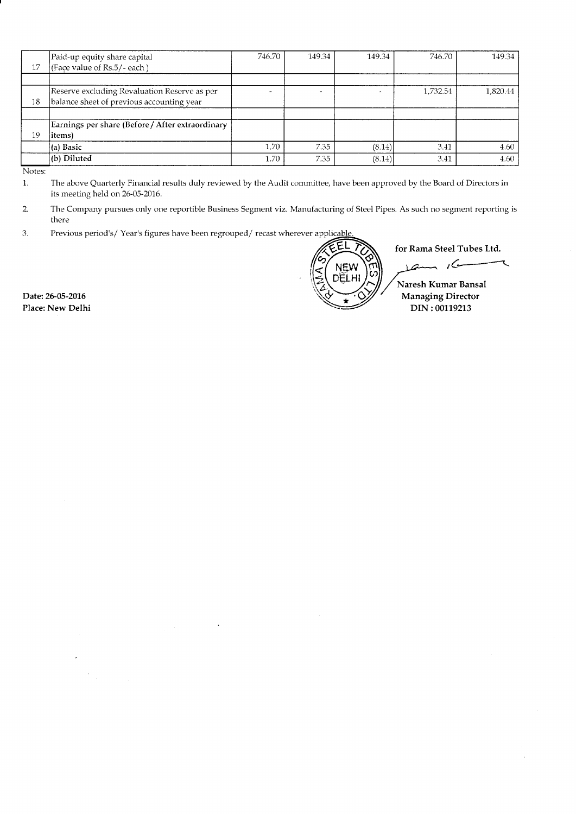| 17 | Paid-up equity share capital<br>(Face value of Rs.5/- each)                               | 746.70 | 149.34 | 149.34 | 746.70   | 149.34   |
|----|-------------------------------------------------------------------------------------------|--------|--------|--------|----------|----------|
|    |                                                                                           |        |        |        |          |          |
| 18 | Reserve excluding Revaluation Reserve as per<br>balance sheet of previous accounting year |        |        |        | 1,732.54 | 1,820.44 |
|    |                                                                                           |        |        |        |          |          |
|    | Earnings per share (Before / After extraordinary                                          |        |        |        |          |          |
| 19 | items)                                                                                    |        |        |        |          |          |
|    | (a) Basic                                                                                 | 1.70   | 7.35   | (8.14) | 3.41     | 4.60     |
|    | (b) Diluted                                                                               | 1.70   | 7.35   | (8.14) | 3.41     | 4.60     |

Notes:

1. The above Quarterly Financial results duly reviewed by the Audit committee, have been approved by the Board of Directors in its meeting held on 26-05-2016.

The Company pursues only one reportible Business Segment viz. Manufacturing of Steel Pipes. As such no segment reporting is there  $2.$ 

Previous period's/Year's figures have been regrouped/recast wherever applicable 3.

ĒL for Rama Steel Tubes Ltd. 101 Kana Steel Tubes Eta. NEW<br>DELHI Naresh Kumar Bansal A:/ryManaging Director DIN :00119213

Date: 26-05-2016 Place: New Delhi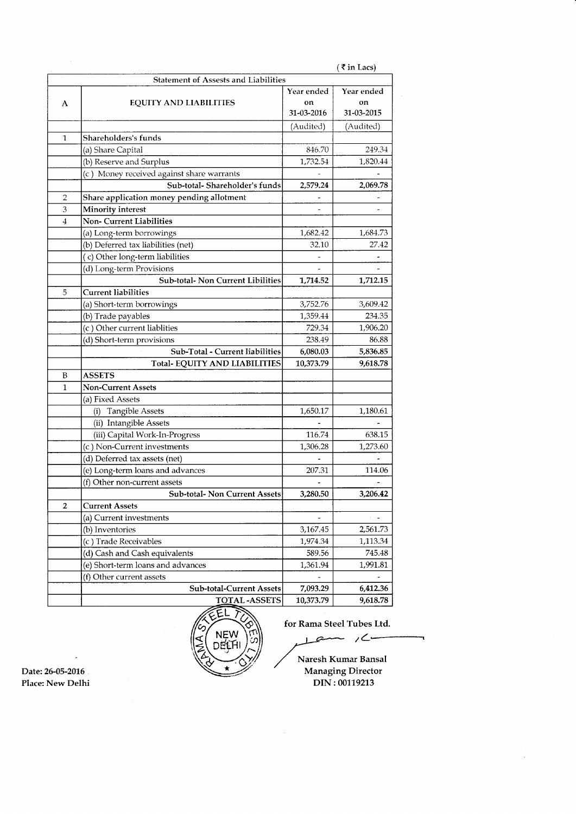|              |                                             |                                | $($ ₹ in Lacs)                 |
|--------------|---------------------------------------------|--------------------------------|--------------------------------|
|              | <b>Statement of Assests and Liabilities</b> |                                |                                |
| A            | <b>EQUITY AND LIABILITIES</b>               | Year ended<br>on<br>31-03-2016 | Year ended<br>on<br>31-03-2015 |
|              |                                             | (Audited)                      | (Audited)                      |
| 1            | Shareholders's funds                        |                                |                                |
|              | (a) Share Capital                           | 846.70                         | 249.34                         |
|              | (b) Reserve and Surplus                     | 1,732.54                       | 1,820.44                       |
|              | (c) Money received against share warrants   |                                |                                |
|              | Sub-total-Shareholder's funds               | 2,579.24                       | 2,069.78                       |
| 2            | Share application money pending allotment   |                                |                                |
| 3            | <b>Minority interest</b>                    |                                |                                |
| 4            | <b>Non- Current Liabilities</b>             |                                |                                |
|              | (a) Long-term borrowings                    | 1,682.42                       | 1,684.73                       |
|              | (b) Deferred tax liabilities (net)          | 32.10                          | 27.42                          |
|              | (c) Other long-term liabilities             |                                |                                |
|              | (d) Long-term Provisions                    |                                |                                |
|              | <b>Sub-total- Non Current Libilities</b>    | 1,714.52                       | 1,712.15                       |
| 5            | <b>Current liabilities</b>                  |                                |                                |
|              | (a) Short-term borrowings                   | 3,752.76                       | 3,609.42                       |
|              | (b) Trade payables                          | 1,359.44                       | 234.35                         |
|              | (c) Other current liablities                | 729.34                         | 1,906.20                       |
|              | (d) Short-term provisions                   | 238.49                         | 86.88                          |
|              | Sub-Total - Current liabilities             | 6,080.03                       | 5,836.85                       |
|              | Total-EQUITY AND LIABILITIES                | 10,373.79                      | 9,618.78                       |
| B            | <b>ASSETS</b>                               |                                |                                |
| $\mathbf{1}$ | <b>Non-Current Assets</b>                   |                                |                                |
|              | (a) Fixed Assets                            |                                |                                |
|              | (i) Tangible Assets                         | 1,650.17                       | 1,180.61                       |
|              | (ii) Intangible Assets                      |                                |                                |
|              | (iii) Capital Work-In-Progress              | 116.74                         | 638.15                         |
|              | (c) Non-Current investments                 | 1,306.28                       | 1,273.60                       |
|              | (d) Deferred tax assets (net)               |                                |                                |
|              | (e) Long-term loans and advances            | 207.31                         | 114.06                         |
|              | (f) Other non-current assets                |                                |                                |
|              | Sub-total- Non Current Assets               | 3,280.50                       | 3,206.42                       |
| 2            | <b>Current Assets</b>                       |                                |                                |
|              | (a) Current investments                     |                                |                                |
|              | (b) Inventories                             | 3,167.45                       | 2,561.73                       |
|              | (c) Trade Receivables                       | 1,974.34                       | 1,113.34                       |
|              | (d) Cash and Cash equivalents               | 589.56                         | 745.48                         |
|              | (e) Short-term loans and advances           | 1,361.94                       | 1,991.81                       |
|              | (f) Other current assets                    |                                |                                |
|              | <b>Sub-total-Current Assets</b>             | 7,093.29                       | 6,412.36                       |
|              | <b>TOTAL-ASSETS</b>                         | 10.373.79                      | 9,618.78                       |

 $L$ em / $C$  $\overline{\mathbf{r}}$ 

FEL<br>
Tor Rama Steel Tubes Ltd.<br>
DEL<br>
DEL<br>
DEL<br>
DEL<br>
Naresh Kumar Bansal<br>
Managing Director<br>
DIN: 00119213 ,/ Naresh Kumar Bansal Date: 26-05-2016 Place: New Delhi DIN: 00119213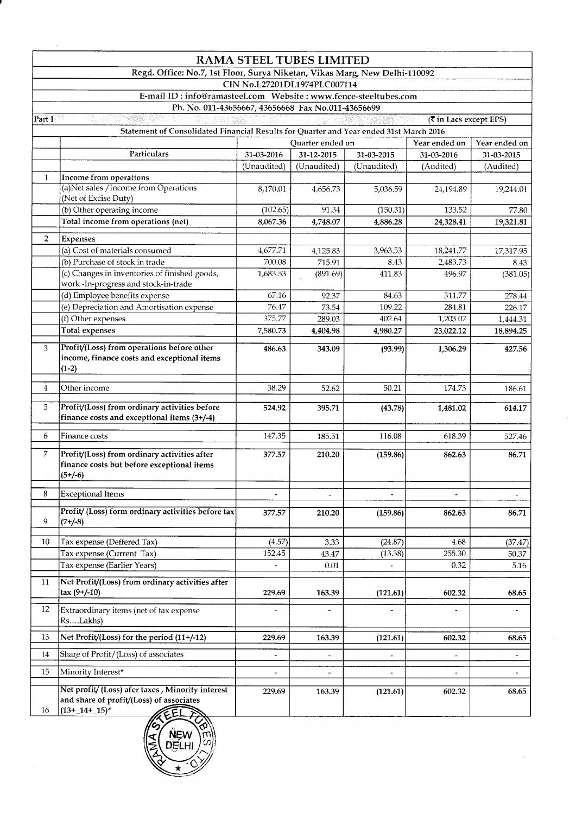| Part I<br>$\mathbf{1}$ | Regd. Office: No.7, 1st Floor, Surya Niketan, Vikas Marg, New Delhi-110092<br>Ph. No. 011-43656667, 43656668 Fax No.011-43656699<br>Statement of Consolidated Financial Results for Quarter and Year ended 31st March 2016<br>Particulars<br>Income from operations<br>(a)Net sales / Income from Operations<br>(Net of Excise Duty)<br>(b) Other operating income | 31-03-2016<br>(Unaudited)<br>8,170.01 | <b>RAMA STEEL TUBES LIMITED</b><br>CIN No.L27201DL1974PLC007114<br>Quarter ended on<br>31-12-2015<br>(Unaudited) |             | (₹ in Lacs except EPS)<br>Year ended on |                          |
|------------------------|--------------------------------------------------------------------------------------------------------------------------------------------------------------------------------------------------------------------------------------------------------------------------------------------------------------------------------------------------------------------|---------------------------------------|------------------------------------------------------------------------------------------------------------------|-------------|-----------------------------------------|--------------------------|
|                        |                                                                                                                                                                                                                                                                                                                                                                    |                                       |                                                                                                                  |             |                                         |                          |
|                        |                                                                                                                                                                                                                                                                                                                                                                    |                                       |                                                                                                                  |             |                                         |                          |
|                        |                                                                                                                                                                                                                                                                                                                                                                    |                                       |                                                                                                                  |             |                                         |                          |
|                        |                                                                                                                                                                                                                                                                                                                                                                    |                                       |                                                                                                                  |             |                                         |                          |
|                        |                                                                                                                                                                                                                                                                                                                                                                    |                                       |                                                                                                                  |             |                                         |                          |
|                        |                                                                                                                                                                                                                                                                                                                                                                    |                                       |                                                                                                                  |             |                                         |                          |
|                        |                                                                                                                                                                                                                                                                                                                                                                    |                                       |                                                                                                                  |             |                                         | Year ended on            |
|                        |                                                                                                                                                                                                                                                                                                                                                                    |                                       |                                                                                                                  | 31-03-2015  | 31-03-2016                              | 31-03-2015               |
|                        |                                                                                                                                                                                                                                                                                                                                                                    |                                       |                                                                                                                  | (Unaudited) | (Audited)                               | (Audited)                |
|                        |                                                                                                                                                                                                                                                                                                                                                                    |                                       |                                                                                                                  |             |                                         |                          |
|                        |                                                                                                                                                                                                                                                                                                                                                                    |                                       | 4,656.73                                                                                                         | 5,036.59    | 24,194.89                               | 19,244.01                |
|                        |                                                                                                                                                                                                                                                                                                                                                                    |                                       |                                                                                                                  |             |                                         |                          |
|                        |                                                                                                                                                                                                                                                                                                                                                                    | (102.65)                              | 91.34                                                                                                            | (150.31)    | 133.52                                  | 77.80                    |
|                        | Total income from operations (net)                                                                                                                                                                                                                                                                                                                                 | 8,067.36                              | 4,748.07                                                                                                         | 4,886.28    | 24,328.41                               | 19,321.81                |
| $\overline{2}$         | <b>Expenses</b>                                                                                                                                                                                                                                                                                                                                                    |                                       |                                                                                                                  |             |                                         |                          |
|                        | (a) Cost of materials consumed                                                                                                                                                                                                                                                                                                                                     | 4,677.71                              | 4,125.83                                                                                                         | 3,963.53    | 18,241.77                               | 17,317.95                |
|                        | (b) Purchase of stock in trade                                                                                                                                                                                                                                                                                                                                     | 700.08                                | 715.91                                                                                                           | 8.43        | 2,483.73                                | 8.43                     |
|                        | (c) Changes in inventories of finished goods,                                                                                                                                                                                                                                                                                                                      | 1,683.53                              | (891.69)                                                                                                         | 411.83      | 496.97                                  | (381.05)                 |
|                        | work-In-progress and stock-in-trade                                                                                                                                                                                                                                                                                                                                |                                       |                                                                                                                  |             |                                         |                          |
|                        | (d) Employee benefits expense                                                                                                                                                                                                                                                                                                                                      | 67.16                                 | 92.37                                                                                                            | 84.63       | 311.77                                  | 278.44                   |
|                        | (e) Depreciation and Amortisation expense                                                                                                                                                                                                                                                                                                                          | 76.47                                 | 73.54                                                                                                            | 109.22      | 284.81                                  | 226.17                   |
|                        | (f) Other expenses<br><b>Total expenses</b>                                                                                                                                                                                                                                                                                                                        | 375.77                                | 289.03                                                                                                           | 402.64      | 1,203.07                                | 1,444.31                 |
|                        |                                                                                                                                                                                                                                                                                                                                                                    | 7,580.73                              | 4,404.98                                                                                                         | 4,980.27    | 23,022.12                               | 18,894.25                |
| 3                      | Profit/(Loss) from operations before other<br>income, finance costs and exceptional items<br>$(1-2)$                                                                                                                                                                                                                                                               | 486.63                                | 343.09                                                                                                           | (93.99)     | 1,306.29                                | 427.56                   |
|                        |                                                                                                                                                                                                                                                                                                                                                                    |                                       |                                                                                                                  |             |                                         |                          |
| $\overline{4}$         | Other income                                                                                                                                                                                                                                                                                                                                                       | 38.29                                 | 52.62                                                                                                            | 50.21       | 174.73                                  | 186.61                   |
| $\overline{5}$         | Profit/(Loss) from ordinary activities before<br>finance costs and exceptional items (3+/-4)                                                                                                                                                                                                                                                                       | 524.92                                | 395.71                                                                                                           | (43.78)     | 1,481.02                                | 614.17                   |
| 6                      | Finance costs                                                                                                                                                                                                                                                                                                                                                      | 147.35                                | 185.51                                                                                                           | 116.08      | 618.39                                  | 527.46                   |
| 7                      | Profit/(Loss) from ordinary activities after<br>finance costs but before exceptional items<br>$(5+/6)$                                                                                                                                                                                                                                                             | 377.57                                | 210.20                                                                                                           | (159.86)    | 862.63                                  | 86.71                    |
| 8                      | <b>Exceptional Items</b>                                                                                                                                                                                                                                                                                                                                           |                                       |                                                                                                                  |             |                                         | $\overline{\phantom{0}}$ |
| 9                      | Profit/ (Loss) form ordinary activities before tax<br>$(7 + (-8))$                                                                                                                                                                                                                                                                                                 | 377.57                                | 210.20                                                                                                           | (159.86)    | 862.63                                  | 86.71                    |
| 10                     | Tax expense (Deffered Tax)                                                                                                                                                                                                                                                                                                                                         | (4.57)                                | 3.33                                                                                                             | (24.87)     | 4.68                                    | (37.47)                  |
|                        | Tax expense (Current Tax)                                                                                                                                                                                                                                                                                                                                          | 152.45                                | 43.47                                                                                                            | (13.38)     | 255.30                                  | 50.37                    |
|                        | Tax expense (Earlier Years)                                                                                                                                                                                                                                                                                                                                        | $\overline{\phantom{a}}$              | 0.01                                                                                                             |             | 0.32                                    | 5.16                     |
| 11                     | Net Profit/(Loss) from ordinary activities after<br>$tax(9+/10)$                                                                                                                                                                                                                                                                                                   | 229.69                                | 163.39                                                                                                           | (121.61)    | 602.32                                  | 68.65                    |
| 12                     | Extraordinary items (net of tax expense<br>RsLakhs)                                                                                                                                                                                                                                                                                                                |                                       |                                                                                                                  |             |                                         |                          |
| 13                     | Net Profit/(Loss) for the period (11+/-12)                                                                                                                                                                                                                                                                                                                         | 229.69                                | 163.39                                                                                                           | (121.61)    | 602.32                                  | 68.65                    |
| 14                     | Share of Profit/(Loss) of associates                                                                                                                                                                                                                                                                                                                               | $\qquad \qquad \blacksquare$          | $\overline{\phantom{a}}$                                                                                         |             | $\overline{\phantom{a}}$                |                          |
| 15                     | Minority Interest*                                                                                                                                                                                                                                                                                                                                                 |                                       |                                                                                                                  |             |                                         |                          |
| 16                     | Net profit/ (Loss) afer taxes, Minority interest<br>and share of profit/(Loss) of associates<br>$(13 + 14 + 15)^*$                                                                                                                                                                                                                                                 | 229.69                                | 163.39                                                                                                           | (121.61)    | 602.32                                  | 68.65                    |



 $\ddot{\phantom{a}}$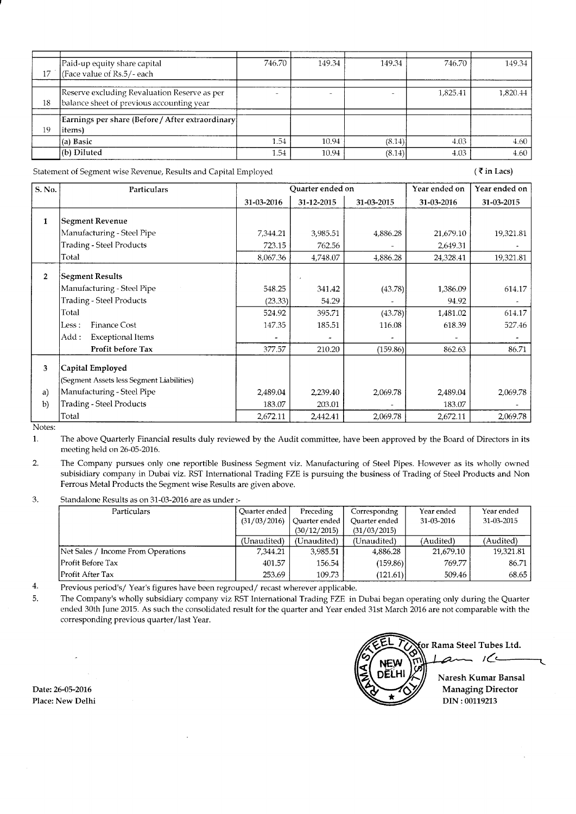|    | Paid-up equity share capital                      | 746.70 | 149.34 | 149.34 | 746.70   | 149.34   |
|----|---------------------------------------------------|--------|--------|--------|----------|----------|
| 17 | (Face value of Rs.5/- each                        |        |        |        |          |          |
|    |                                                   |        |        |        |          |          |
|    |                                                   |        |        |        |          |          |
|    | Reserve excluding Revaluation Reserve as per      |        |        |        | 1.825.41 | 1,820.44 |
| 18 | balance sheet of previous accounting year         |        |        |        |          |          |
|    |                                                   |        |        |        |          |          |
|    | Earnings per share (Before / After extraordinary) |        |        |        |          |          |
| 19 | items)                                            |        |        |        |          |          |
|    | (a) Basic                                         | 1.54   | 10.94  | (8.14) | 4.03     | 4.60     |
|    | (b) Diluted                                       | 1.54   | 10.94  | (8.14) | 4.03     | 4.60     |

Statement of Segment wise Revenue, Results and Capital Employed

 $($  ₹ in Lacs)

| S. No.       | Particulars                               | Ouarter ended on |            |            | Year ended on | Year ended on |
|--------------|-------------------------------------------|------------------|------------|------------|---------------|---------------|
|              |                                           | 31-03-2016       | 31-12-2015 | 31-03-2015 | 31-03-2016    | 31-03-2015    |
| 1            | <b>Segment Revenue</b>                    |                  |            |            |               |               |
|              | Manufacturing - Steel Pipe                | 7,344.21         | 3,985.51   | 4,886.28   | 21,679.10     | 19,321.81     |
|              | <b>Trading - Steel Products</b>           | 723.15           | 762.56     |            | 2,649.31      |               |
|              | Total                                     | 8,067.36         | 4,748.07   | 4,886.28   | 24,328.41     | 19,321.81     |
| $\mathbf{2}$ | Segment Results                           |                  |            |            |               |               |
|              | Manufacturing - Steel Pipe                | 548.25           | 341.42     | (43.78)    | 1,386.09      | 614.17        |
|              | <b>Trading - Steel Products</b>           | (23.33)          | 54.29      |            | 94.92         |               |
|              | Total                                     | 524.92           | 395.71     | (43.78)    | 1,481.02      | 614.17        |
|              | <b>Finance Cost</b><br>Less :             | 147.35           | 185.51     | 116.08     | 618.39        | 527.46        |
|              | Exceptional Items<br>Add:                 |                  |            |            |               |               |
|              | Profit before Tax                         | 377.57           | 210.20     | (159.86)   | 862.63        | 86.71         |
| 3            | Capital Employed                          |                  |            |            |               |               |
|              | (Segment Assets less Segment Liabilities) |                  |            |            |               |               |
| a)           | Manufacturing - Steel Pipe                | 2,489.04         | 2,239.40   | 2,069.78   | 2,489.04      | 2,069.78      |
| b)           | Trading - Steel Products                  | 183.07           | 203.01     |            | 183.07        |               |
| Matas.       | Total                                     | 2,672.11         | 2,442.41   | 2,069.78   | 2,672.11      | 2,069.78      |

Notes:

The above Quarterly Financial results duly reviewed by the Audit committee, have been approved by the Board of Directors in its  $\mathbf{1}$ meeting held on 26-05-2016.

The Company pursues only one reportible Business Segment viz. Manufacturing of Steel Pipes. However as its wholly owned  $\overline{2}$ subisidiary company in Dubai viz. RST International Trading FZE is pursuing the business of Trading of Steel Products and Non Ferrous Metal Products the Segment wise Results are given above.

3. Standalone Results as on 31-03-2016 are as under :-

| Particulars                        | Ouarter ended | Preceding     | Correspondng  | Year ended | Year ended |
|------------------------------------|---------------|---------------|---------------|------------|------------|
|                                    | (31/03/2016)  | Ouarter ended | Quarter ended | 31-03-2016 | 31-03-2015 |
|                                    |               | (30/12/2015)  | (31/03/2015)  |            |            |
|                                    | (Unaudited)   | (Unaudited)   | (Unaudited)   | (Audited)  | (Audited)  |
| Net Sales / Income From Operations | 7.344.21      | 3,985.51      | 4,886.28      | 21,679.10  | 19.321.81  |
| lProfit Before Tax                 | 401.57        | 156.54        | (159.86)      | 769.77     | 86.71      |
| lProfit After Tax                  | 253.69        | 109.73        | (121.61)      | 509.46     | 68.65      |

 $\overline{4}$ . Previous period's/Year's figures have been regrouped/recast wherever applicable.

The Company's wholly subsidiary company viz RST International Trading FZE in Dubai began operating only during the Quarter 5. ended 30th June 2015. As such the consolidated result for the quarter and Year ended 31st March 2016 are not comparable with the corresponding previous quarter/last Year.

Date: 26-05-2016 Place: New Delhi

for Rama Steel Tubes Ltd. am  $16$ Naresh Kumar Bansal **Managing Director** DIN: 00119213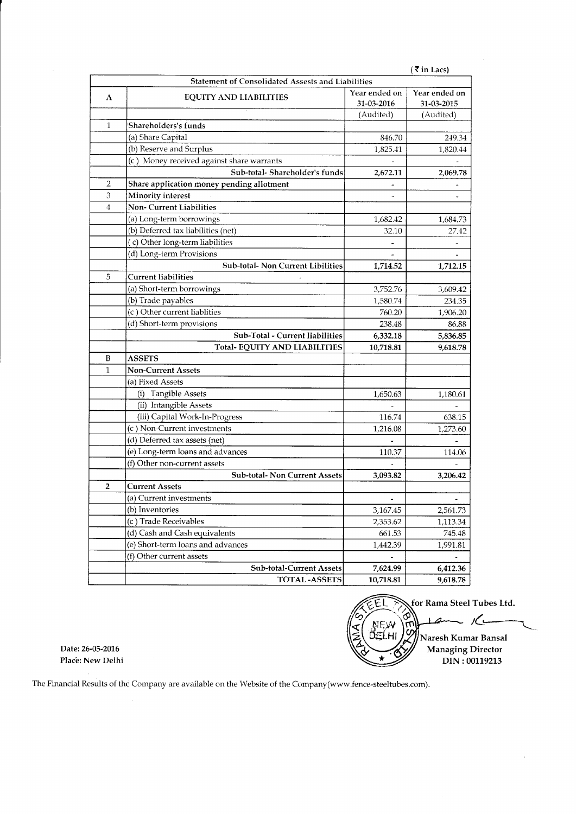|              |                                                   |                             | (₹in Lacs)                  |
|--------------|---------------------------------------------------|-----------------------------|-----------------------------|
|              | Statement of Consolidated Assests and Liabilities |                             |                             |
| A            | <b>EQUITY AND LIABILITIES</b>                     | Year ended on<br>31-03-2016 | Year ended on<br>31-03-2015 |
|              |                                                   | (Audited)                   | (Audited)                   |
| $\mathbf{1}$ | Shareholders's funds                              |                             |                             |
|              | (a) Share Capital                                 | 846.70                      | 249.34                      |
|              | (b) Reserve and Surplus                           | 1,825.41                    | 1,820.44                    |
|              | (c) Money received against share warrants         |                             |                             |
|              | Sub-total-Shareholder's funds                     | 2,672.11                    | 2,069.78                    |
| 2            | Share application money pending allotment         |                             |                             |
| 3            | Minority interest                                 |                             |                             |
| 4            | <b>Non-Current Liabilities</b>                    |                             |                             |
|              | (a) Long-term borrowings                          | 1,682.42                    | 1,684.73                    |
|              | (b) Deferred tax liabilities (net)                | 32.10                       | 27.42                       |
|              | (c) Other long-term liabilities                   |                             |                             |
|              | (d) Long-term Provisions                          |                             |                             |
|              | Sub-total- Non Current Libilities                 | 1,714.52                    | 1,712.15                    |
| 5            | <b>Current liabilities</b>                        |                             |                             |
|              | (a) Short-term borrowings                         | 3,752.76                    | 3,609.42                    |
|              | (b) Trade payables                                | 1,580.74                    | 234.35                      |
|              | (c) Other current liablities                      | 760.20                      | 1,906.20                    |
|              | (d) Short-term provisions                         | 238.48                      | 86.88                       |
|              | Sub-Total - Current liabilities                   | 6,332.18                    | 5,836.85                    |
|              | <b>Total-EQUITY AND LIABILITIES</b>               | 10,718.81                   | 9,618.78                    |
| B            | <b>ASSETS</b>                                     |                             |                             |
| $\mathbf{1}$ | <b>Non-Current Assets</b>                         |                             |                             |
|              | (a) Fixed Assets                                  |                             |                             |
|              | (i) Tangible Assets                               | 1,650.63                    | 1,180.61                    |
|              | (ii) Intangible Assets                            |                             |                             |
|              | (iii) Capital Work-In-Progress                    | 116.74                      | 638.15                      |
|              | (c) Non-Current investments                       | 1,216.08                    | 1,273.60                    |
|              | (d) Deferred tax assets (net)                     |                             |                             |
|              | (e) Long-term loans and advances                  | 110.37                      | 114.06                      |
|              | (f) Other non-current assets                      |                             |                             |
|              | Sub-total- Non Current Assets                     | 3,093.82                    | 3.206.42                    |
| 2            | <b>Current Assets</b>                             |                             |                             |
|              | (a) Current investments                           |                             |                             |
|              | (b) Inventories                                   | 3,167.45                    | 2,561.73                    |
|              | (c) Trade Receivables                             | 2,353.62                    | 1,113.34                    |
|              | (d) Cash and Cash equivalents                     | 661.53                      | 745.48                      |
|              | (e) Short-term loans and advances                 | 1,442.39                    | 1,991.81                    |
|              | (f) Other current assets                          |                             |                             |
|              | Sub-total-Current Assets                          | 7,624.99                    | 6,412.36                    |
|              | <b>TOTAL-ASSETS</b>                               | 10,718.81                   | 9,618.78                    |

for Rama Steel Tubes Ltd. ĒL ♢  $\mathcal{L}$ z **NEW** ်ဟ (ELHI Naresh Kumar Bansal Managing Director  $\star$ DIN: 00119213

Date: 26-05-2016 Place: New Delhi

The Financial Results of the Company are available on the Website of the Company(www.fence-steeltubes.con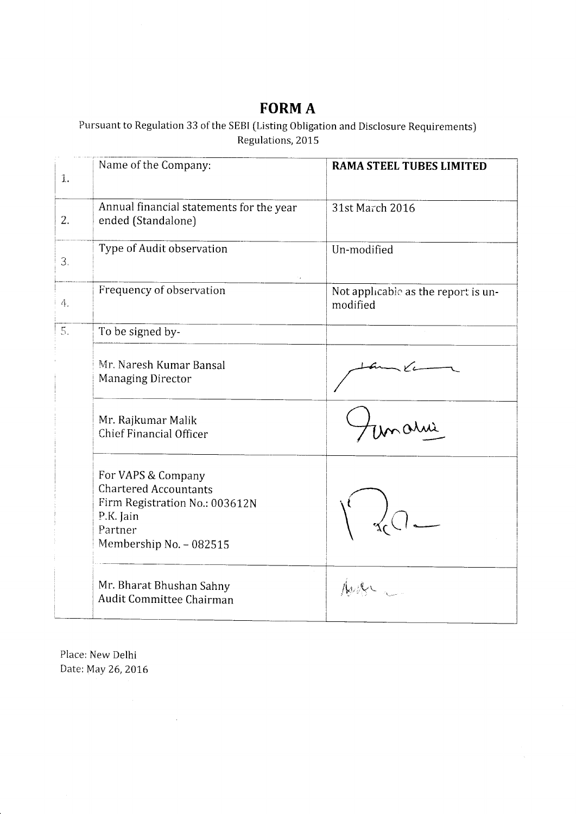# FORM A

Pursuant to Regulation 33 of the SEBI [Listing Obligation and Disclosure Requirements) Regulations, 2015

| $\mathbf{1}$ . | Name of the Company:                                                                                                                    | <b>RAMA STEEL TUBES LIMITED</b>                 |
|----------------|-----------------------------------------------------------------------------------------------------------------------------------------|-------------------------------------------------|
| 2.             | Annual financial statements for the year<br>ended (Standalone)                                                                          | 31st March 2016                                 |
| 3.             | Type of Audit observation                                                                                                               | Un-modified                                     |
| 4.             | Frequency of observation                                                                                                                | Not applicable as the report is un-<br>modified |
| 5.             | To be signed by-                                                                                                                        |                                                 |
|                | Mr. Naresh Kumar Bansal<br>Managing Director                                                                                            |                                                 |
|                | Mr. Rajkumar Malik<br><b>Chief Financial Officer</b>                                                                                    | mahi                                            |
|                | For VAPS & Company<br><b>Chartered Accountants</b><br>Firm Registration No.: 003612N<br>P.K. Jain<br>Partner<br>Membership No. - 082515 |                                                 |
|                | Mr. Bharat Bhushan Sahny<br>Audit Committee Chairman                                                                                    |                                                 |

Place: New Delhi Date: May 26,2016

 $\sim 10^6$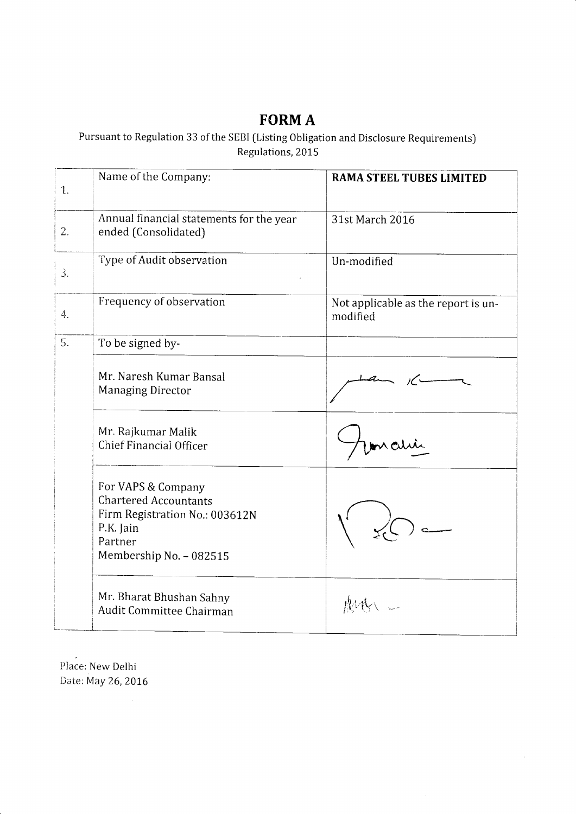## FORM A

Pursuant to Regulation 33 of the SEBI [Listing Obligation and Disclosure Requirements) Regulations, 2015

| $\mathbf{1}$ . | Name of the Company:                                                                                                                    | RAMA STEEL TUBES LIMITED                        |
|----------------|-----------------------------------------------------------------------------------------------------------------------------------------|-------------------------------------------------|
| 2.             | Annual financial statements for the year<br>ended (Consolidated)                                                                        | 31st March 2016                                 |
| 3.             | Type of Audit observation                                                                                                               | Un-modified                                     |
| 4.             | Frequency of observation                                                                                                                | Not applicable as the report is un-<br>modified |
| 5.             | To be signed by-                                                                                                                        |                                                 |
|                | Mr. Naresh Kumar Bansal<br><b>Managing Director</b>                                                                                     |                                                 |
|                | Mr. Rajkumar Malik<br>Chief Financial Officer                                                                                           |                                                 |
|                | For VAPS & Company<br><b>Chartered Accountants</b><br>Firm Registration No.: 003612N<br>P.K. Jain<br>Partner<br>Membership No. - 082515 |                                                 |
|                | Mr. Bharat Bhushan Sahny<br>Audit Committee Chairman                                                                                    |                                                 |

Place: New Delhi Date: May 26, 2016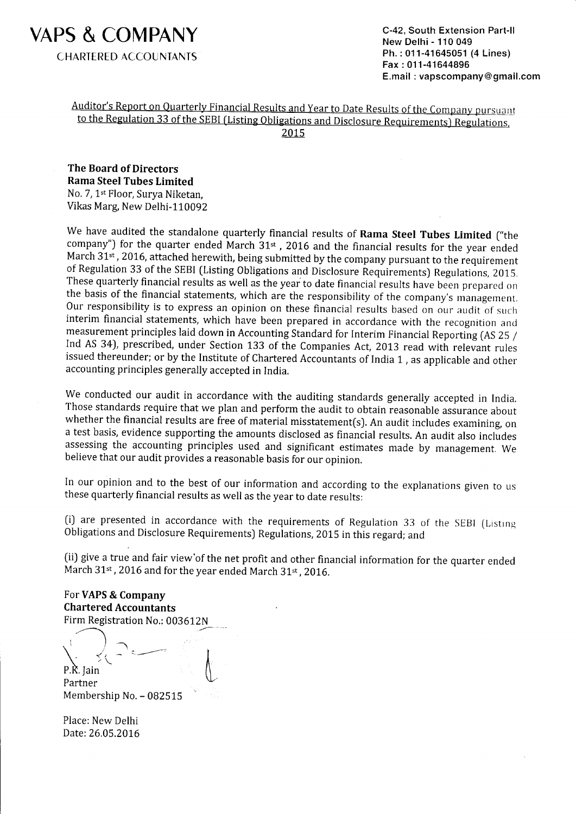

C-42, South Extension Part-ll New Delhi - 110 049 Ph.: 011-41645051 (4 Lines) Fax : 01 1 -41 644896 E.mail : vapscompany@gmail.com

### Auditor's Report on Quarterly Financial Results and Year to Date Results of the Company pursuant to the Regulation 33 of the SEBI (Listing Obligations and Disclosure Requirements) Regulations. 2015

The Board of Directors Rama Steel Tubes Limited No. 7, 1<sup>st</sup> Floor, Surya Niketan, Vikas Marg, New Delhi-110092

We have audited the standalone quarterly financial results of **Rama Steel Tubes Limited** ("the company") for the quarter ended March  $31<sup>st</sup>$ , 2016 and the financial results for the year ended March 31<sup>st</sup>, 2016, attached herewith, being submitted by the company pursuant to the requirement of Regulation 33 of the SEBI (Listing Obligations and Disclosure Requirements) Regulations, 2015. These quarterly financial results as well as the year to date financial results have been prepared on the basis of the financial statements, which are the responsibility of the company's management. Our responsibility is to express an opinion on these financial results based on our audit of such interim financial statements, which have been prepared in accordance with the recognition and measurement principles laid down in Accounting Standard for Interim Financial Reporting (AS ZS / Ind AS 34), prescribed, under Section 133 of the Companies Act, 2013 read with relevant rules issued thereunder; or by the Institute of Chartered Accountants of India 1, as applicable and other accounting principles generally accepted in India.

We conducted our audit in accordance with the auditing standards generally accepted in India, Those standards require that we plan and perform the audit to obtain reasonable assurance about whether the financial results are free of material misstatement(s). An audit includes examining, on <sup>a</sup>test basis, evidence supporting the amounts disclosed as financial results. An audit also includes assessing the accounting principles used and significant estimates made by management. We believe that our audit provides a reasonable basis for our opinion.

In our opinion and to the best of our information and according to the explanations given to us these quarterly financial results as well as the year to date results:

(i) are presented in accordance with the requirements of Regulation 33 of the SEBI (Listing Obligations and Disclosure Requirements) Regulations, 2015 in this regard; and

[ii) give a true and fair view'of the net profit and other financial information for the quarter ended March 31st, 2016 and for the year ended March 31st, 2016.

For VAPS & Company Chartered Accountants Firm Registration No.: 003612N/-

.<br>1  $\setminus \quad \leq \leftarrow$  $\longrightarrow$  $\sum_{\text{P.K. } \text{Jain}}$  in the set of  $\setminus$ ^

Partner Membership No.- 082515

Place: New Delhi Date: 26.05.2016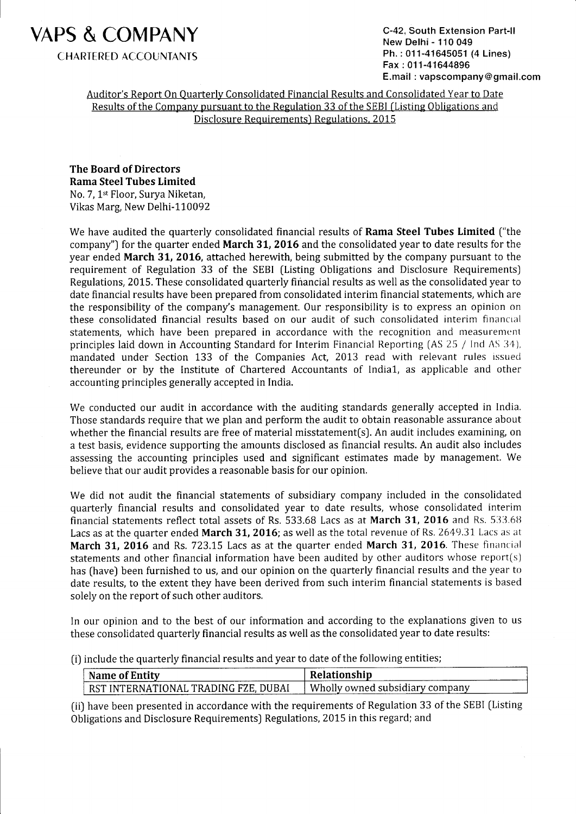

C-42, South Extension Part-ll New Delhi - 110 049 Ph. : 011-41645051 (4 Lines) Fax: 011-41644896 E.mail : vapscompany @ gmail.com

Auditor's Report On Quarterly Consolidated Financial Results and Consolidated Year to Date Results of the Comnany pursuant to the Regulation 33 of the SEBI (Listing Obligations and Disclosure Requirements) Regulations. 2015

The Board of Directors Rama Steel Tubes Limited No. 7, 1<sup>st</sup> Floor, Surya Niketan, Vikas Marg, New Delhi-110092

We have audited the quarterly consolidated financial results of Rama Steel Tubes Limited ("the company") for the quarter ended March 31, 2016 and the consolidated year to date results for the year ended March 31, 2016, attached herewith, being submitted by the company pursuant to the requirement of Regulation 33 of the SEBI (Listing Obligations and Disclosure Requirements) Regulations, 2015. These consolidated quarterly financial results as well as the consolidated year to date financial results have been prepared from consolidated interim financial statements, which are the responsibility of the company's management. Our responsibility is to express an opinion on these consolidated financial results based on our audit of such consolidated interim financial statements, which have been prepared in accordance with the recognition and measuremcnt principles laid down in Accounting Standard for Interim Financial Reporting (AS 25 / Ind AS 34), mandated under Section 133 of the Companies Act, 2013 read with relevant rules issued thereunder or by the Institute of Chartered Accountants of India1, as applicable and other accounting principles generally accepted in India.

We conducted our audit in accordance with the auditing standards generally accepted in India. Those standards require that we plan and perform the audit to obtain reasonable assurance about whether the financial results are free of material misstatement(s). An audit includes examining, on a test basis, evidence supporting the amounts disclosed as financial results. An audit also includes assessing the accounting principles used and significant estimates made by management. We believe that our audit provides a reasonable basis for our opinion.

We did not audit the financial statements of subsidiary company included in the consolidated quarterly financial results and consolidated year to date results, whose consolidated interim financial statements reflect total assets of Rs.  $533.68$  Lacs as at March 31, 2016 and Rs.  $533.68$ Lacs as at the quarter ended **March 31, 2016**; as well as the total revenue of Rs. 2649.31 Lacs as at March 31, 2016 and Rs. 723.15 Lacs as at the quarter ended March 31, 2016. These financial statements and other financial information have been audited by other auditors whose report(s) has (have) been furnished to us, and our opinion on the quarterly financial results and the year to date results, to the extent they have been derived from such interim financial statements is based solely on the report of such other auditors.

In our opinion and to the best of our information and according to the explanations given to us these consolidated quarterly financial results as well as the consolidated year to date results:

(i) include the quarterly financial results and year to date of the following entities;

| Name of Entity                       | Relationship                      |
|--------------------------------------|-----------------------------------|
| RST INTERNATIONAL TRADING FZE, DUBAI | Wholly owned subsidiary company ' |

(ii) have been presented in accordance with the requirements of Regulation 33 of the SEBI (Listing Obligations and Disclosure Requirements) Regulations, 2015 in this regard; and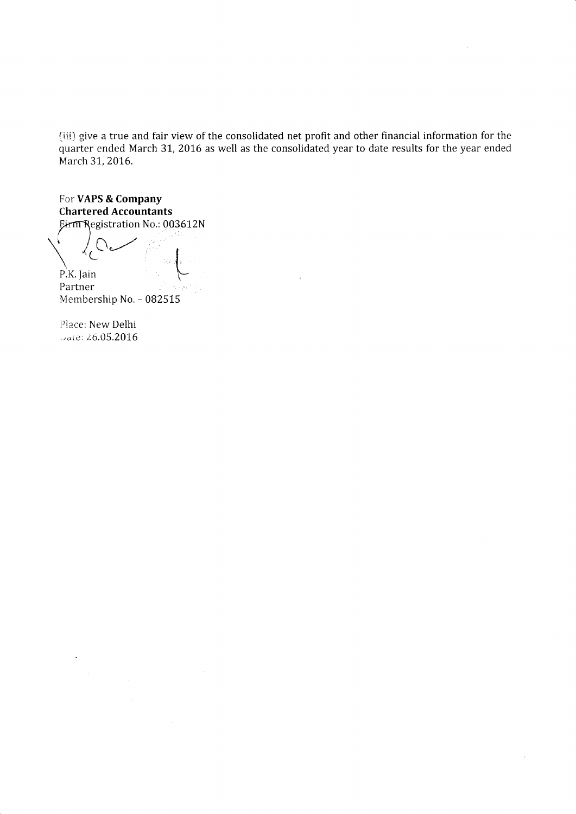{iii] give a true and fair view of the consolidated net profit and other financial information for the quarter ended March 31, 2016 as well as the consolidated year to date results for the year ended March 31, 2016.

For VAPS & Company Chartered Accountants Eirm Registration No.: 003612N

P.K. Jain Partner

Membership No. - 082515

Place: New Delhi  $\cup$ ate: 26.05.2016

 $\ddot{\phantom{a}}$